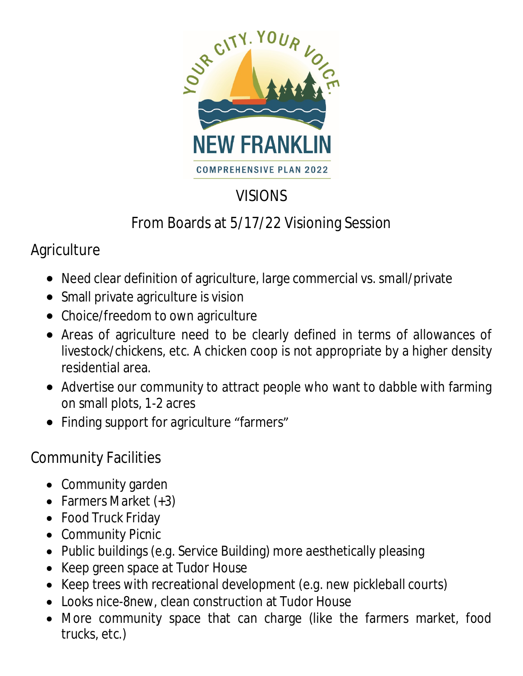

# VISIONS

# From Boards at 5/17/22 Visioning Session

## Agriculture

- Need clear definition of agriculture, large commercial vs. small/private
- Small private agriculture is vision
- Choice/freedom to own agriculture
- Areas of agriculture need to be clearly defined in terms of allowances of livestock/chickens, etc. A chicken coop is not appropriate by a higher density residential area.
- Advertise our community to attract people who want to dabble with farming on small plots, 1-2 acres
- Finding support for agriculture "farmers"

## Community Facilities

- Community garden
- Farmers Market (+3)
- Food Truck Friday
- Community Picnic
- Public buildings (e.g. Service Building) more aesthetically pleasing
- Keep green space at Tudor House
- Keep trees with recreational development (e.g. new pickleball courts)
- Looks nice-8new, clean construction at Tudor House
- More community space that can charge (like the farmers market, food trucks, etc.)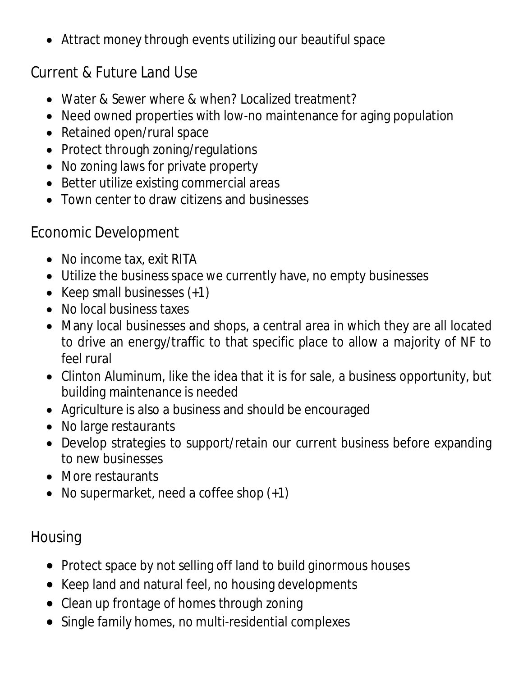Attract money through events utilizing our beautiful space

## Current & Future Land Use

- Water & Sewer where & when? Localized treatment?
- Need owned properties with low-no maintenance for aging population
- Retained open/rural space
- Protect through zoning/regulations
- No zoning laws for private property
- Better utilize existing commercial areas
- Town center to draw citizens and businesses

#### Economic Development

- No income tax, exit RITA
- Utilize the business space we currently have, no empty businesses
- Keep small businesses  $(+1)$
- No local business taxes
- Many local businesses and shops, a central area in which they are all located to drive an energy/traffic to that specific place to allow a majority of NF to feel rural
- Clinton Aluminum, like the idea that it is for sale, a business opportunity, but building maintenance is needed
- Agriculture is also a business and should be encouraged
- No large restaurants
- Develop strategies to support/retain our current business before expanding to new businesses
- More restaurants
- No supermarket, need a coffee shop  $(+1)$

## Housing

- Protect space by not selling off land to build ginormous houses
- Keep land and natural feel, no housing developments
- Clean up frontage of homes through zoning
- Single family homes, no multi-residential complexes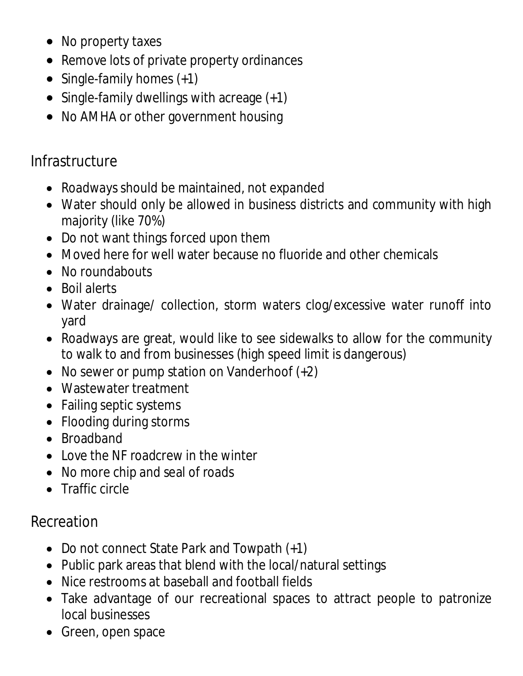- No property taxes
- Remove lots of private property ordinances
- Single-family homes (+1)
- $\bullet$  Single-family dwellings with acreage  $(+1)$
- No AMHA or other government housing

#### **Infrastructure**

- Roadways should be maintained, not expanded
- Water should only be allowed in business districts and community with high majority (like 70%)
- Do not want things forced upon them
- Moved here for well water because no fluoride and other chemicals
- No roundabouts
- Boil alerts
- Water drainage/ collection, storm waters clog/excessive water runoff into yard
- Roadways are great, would like to see sidewalks to allow for the community to walk to and from businesses (high speed limit is dangerous)
- No sewer or pump station on Vanderhoof  $(+2)$
- Wastewater treatment
- Failing septic systems
- Flooding during storms
- Broadband
- Love the NF roadcrew in the winter
- No more chip and seal of roads
- Traffic circle

#### Recreation

- Do not connect State Park and Towpath (+1)
- Public park areas that blend with the local/natural settings
- Nice restrooms at baseball and football fields
- Take advantage of our recreational spaces to attract people to patronize local businesses
- Green, open space